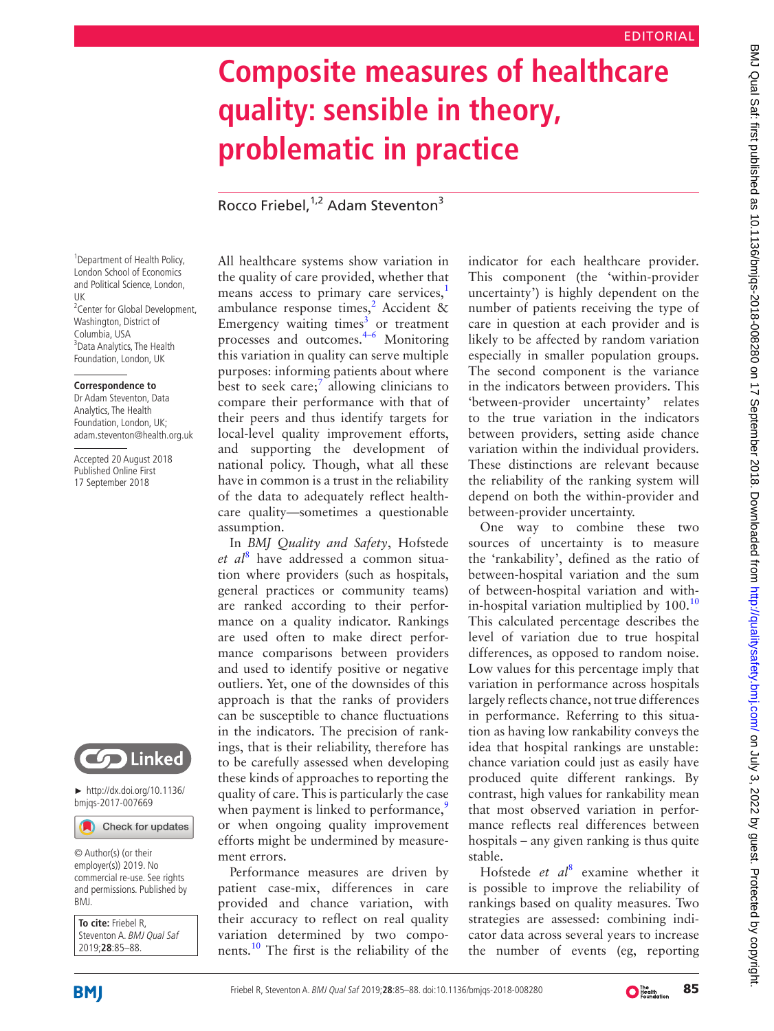# **Composite measures of healthcare quality: sensible in theory, problematic in practice**

Rocco Friebel, $1,2$  Adam Steventon<sup>3</sup>

1 Department of Health Policy, London School of Economics and Political Science, London, UK <sup>2</sup> Center for Global Development, Washington, District of Columbia, USA <sup>3</sup> Data Analytics, The Health Foundation, London, UK

#### **Correspondence to**

Dr Adam Steventon, Data Analytics, The Health Foundation, London, UK; adam.steventon@health.org.uk

Accepted 20 August 2018 Published Online First 17 September 2018



► [http://dx.doi.org/10.1136/](http://dx.doi.org/10.1136/bmjqs-2017-007669) [bmjqs-2017-007669](http://dx.doi.org/10.1136/bmjqs-2017-007669)

Check for updates

© Author(s) (or their employer(s)) 2019. No commercial re-use. See rights and permissions. Published by BMJ.

**To cite:** Friebel R, Steventon A. BMJ Oual Saf 2019;**28**:85–88.

All healthcare systems show variation in the quality of care provided, whether that means access to primary care services,<sup>[1](#page-2-0)</sup> ambulance response times,<sup>[2](#page-2-1)</sup> Accident & Emergency waiting times $3$  or treatment processes and outcomes.[4–6](#page-2-3) Monitoring this variation in quality can serve multiple purposes: informing patients about where best to seek care;<sup>[7](#page-2-4)</sup> allowing clinicians to compare their performance with that of their peers and thus identify targets for local-level quality improvement efforts, and supporting the development of national policy. Though, what all these have in common is a trust in the reliability of the data to adequately reflect healthcare quality—sometimes a questionable assumption.

In *BMJ Quality and Safety*, Hofstede *et al*[8](#page-2-5) have addressed a common situation where providers (such as hospitals, general practices or community teams) are ranked according to their performance on a quality indicator. Rankings are used often to make direct performance comparisons between providers and used to identify positive or negative outliers. Yet, one of the downsides of this approach is that the ranks of providers can be susceptible to chance fluctuations in the indicators. The precision of rankings, that is their reliability, therefore has to be carefully assessed when developing these kinds of approaches to reporting the quality of care. This is particularly the case when payment is linked to performance, $\frac{9}{2}$  $\frac{9}{2}$  $\frac{9}{2}$ or when ongoing quality improvement efforts might be undermined by measurement errors.

Performance measures are driven by patient case-mix, differences in care provided and chance variation, with their accuracy to reflect on real quality variation determined by two components.[10](#page-2-7) The first is the reliability of the

indicator for each healthcare provider. This component (the 'within-provider uncertainty') is highly dependent on the number of patients receiving the type of care in question at each provider and is likely to be affected by random variation especially in smaller population groups. The second component is the variance in the indicators between providers. This 'between-provider uncertainty' relates to the true variation in the indicators between providers, setting aside chance variation within the individual providers. These distinctions are relevant because the reliability of the ranking system will depend on both the within-provider and between-provider uncertainty.

One way to combine these two sources of uncertainty is to measure the 'rankability', defined as the ratio of between-hospital variation and the sum of between-hospital variation and with-in-hospital variation multiplied by [10](#page-2-7)0.<sup>10</sup> This calculated percentage describes the level of variation due to true hospital differences, as opposed to random noise. Low values for this percentage imply that variation in performance across hospitals largely reflects chance, not true differences in performance. Referring to this situation as having low rankability conveys the idea that hospital rankings are unstable: chance variation could just as easily have produced quite different rankings. By contrast, high values for rankability mean that most observed variation in performance reflects real differences between hospitals – any given ranking is thus quite stable.

Hofstede et al<sup>[8](#page-2-5)</sup> examine whether it is possible to improve the reliability of rankings based on quality measures. Two strategies are assessed: combining indicator data across several years to increase the number of events (eg, reporting

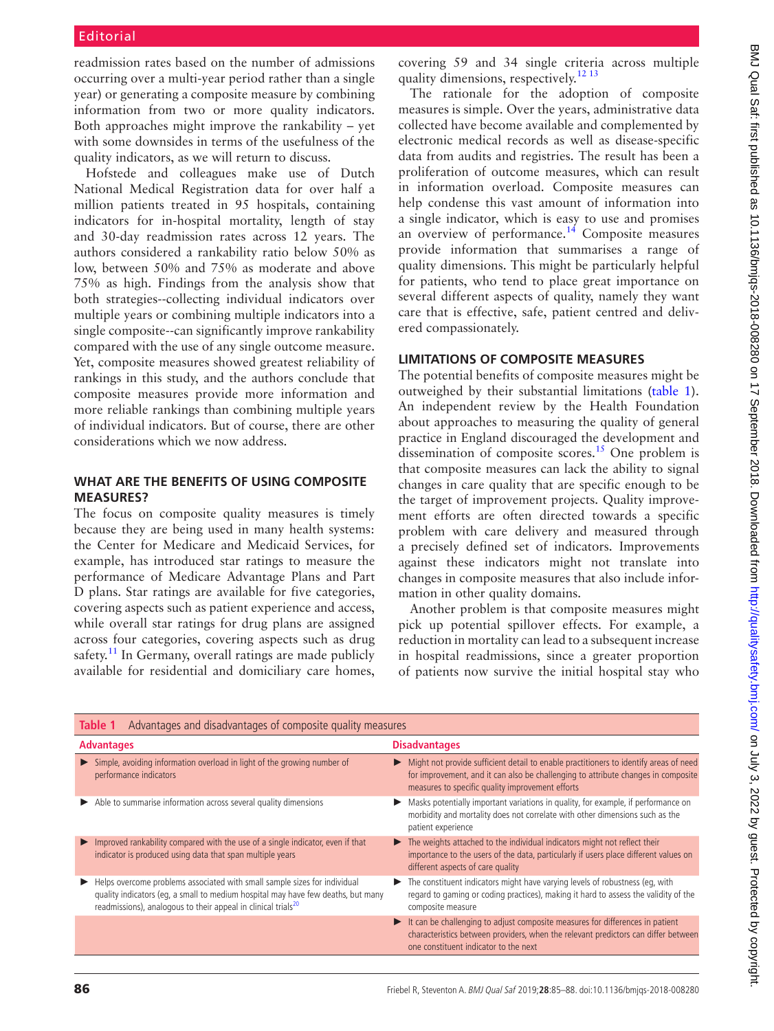readmission rates based on the number of admissions occurring over a multi-year period rather than a single year) or generating a composite measure by combining information from two or more quality indicators. Both approaches might improve the rankability – yet with some downsides in terms of the usefulness of the quality indicators, as we will return to discuss.

Hofstede and colleagues make use of Dutch National Medical Registration data for over half a million patients treated in 95 hospitals, containing indicators for in-hospital mortality, length of stay and 30-day readmission rates across 12 years. The authors considered a rankability ratio below 50% as low, between 50% and 75% as moderate and above 75% as high. Findings from the analysis show that both strategies--collecting individual indicators over multiple years or combining multiple indicators into a single composite--can significantly improve rankability compared with the use of any single outcome measure. Yet, composite measures showed greatest reliability of rankings in this study, and the authors conclude that composite measures provide more information and more reliable rankings than combining multiple years of individual indicators. But of course, there are other considerations which we now address.

### **What are the benefits of using composite measures?**

The focus on composite quality measures is timely because they are being used in many health systems: the Center for Medicare and Medicaid Services, for example, has introduced star ratings to measure the performance of Medicare Advantage Plans and Part D plans. Star ratings are available for five categories, covering aspects such as patient experience and access, while overall star ratings for drug plans are assigned across four categories, covering aspects such as drug safety.<sup>11</sup> In Germany, overall ratings are made publicly available for residential and domiciliary care homes, covering 59 and 34 single criteria across multiple quality dimensions, respectively.<sup>[12 13](#page-2-9)</sup>

The rationale for the adoption of composite measures is simple. Over the years, administrative data collected have become available and complemented by electronic medical records as well as disease-specific data from audits and registries. The result has been a proliferation of outcome measures, which can result in information overload. Composite measures can help condense this vast amount of information into a single indicator, which is easy to use and promises an overview of performance.[14](#page-3-1) Composite measures provide information that summarises a range of quality dimensions. This might be particularly helpful for patients, who tend to place great importance on several different aspects of quality, namely they want care that is effective, safe, patient centred and delivered compassionately.

#### **Limitations of composite measures**

The potential benefits of composite measures might be outweighed by their substantial limitations ([table](#page-1-0) 1). An independent review by the Health Foundation about approaches to measuring the quality of general practice in England discouraged the development and dissemination of composite scores.<sup>15</sup> One problem is that composite measures can lack the ability to signal changes in care quality that are specific enough to be the target of improvement projects. Quality improvement efforts are often directed towards a specific problem with care delivery and measured through a precisely defined set of indicators. Improvements against these indicators might not translate into changes in composite measures that also include information in other quality domains.

Another problem is that composite measures might pick up potential spillover effects. For example, a reduction in mortality can lead to a subsequent increase in hospital readmissions, since a greater proportion of patients now survive the initial hospital stay who

<span id="page-1-0"></span>

| Advantages and disadvantages of composite quality measures<br>Table 1 |                                                                                                                                                                                                                                            |                      |                                                                                                                                                                                                                                    |
|-----------------------------------------------------------------------|--------------------------------------------------------------------------------------------------------------------------------------------------------------------------------------------------------------------------------------------|----------------------|------------------------------------------------------------------------------------------------------------------------------------------------------------------------------------------------------------------------------------|
| <b>Advantages</b>                                                     |                                                                                                                                                                                                                                            | <b>Disadvantages</b> |                                                                                                                                                                                                                                    |
|                                                                       | Simple, avoiding information overload in light of the growing number of<br>performance indicators                                                                                                                                          |                      | Might not provide sufficient detail to enable practitioners to identify areas of need<br>for improvement, and it can also be challenging to attribute changes in composite<br>measures to specific quality improvement efforts     |
|                                                                       | Able to summarise information across several quality dimensions                                                                                                                                                                            |                      | Masks potentially important variations in quality, for example, if performance on<br>morbidity and mortality does not correlate with other dimensions such as the<br>patient experience                                            |
|                                                                       | $\blacktriangleright$ Improved rankability compared with the use of a single indicator, even if that<br>indicator is produced using data that span multiple years                                                                          |                      | $\blacktriangleright$ The weights attached to the individual indicators might not reflect their<br>importance to the users of the data, particularly if users place different values on<br>different aspects of care quality       |
|                                                                       | Helps overcome problems associated with small sample sizes for individual<br>quality indicators (eq, a small to medium hospital may have few deaths, but many<br>readmissions), analogous to their appeal in clinical trials <sup>20</sup> |                      | $\blacktriangleright$ The constituent indicators might have varying levels of robustness (eq. with<br>regard to gaming or coding practices), making it hard to assess the validity of the<br>composite measure                     |
|                                                                       |                                                                                                                                                                                                                                            |                      | $\blacktriangleright$ It can be challenging to adjust composite measures for differences in patient<br>characteristics between providers, when the relevant predictors can differ between<br>one constituent indicator to the next |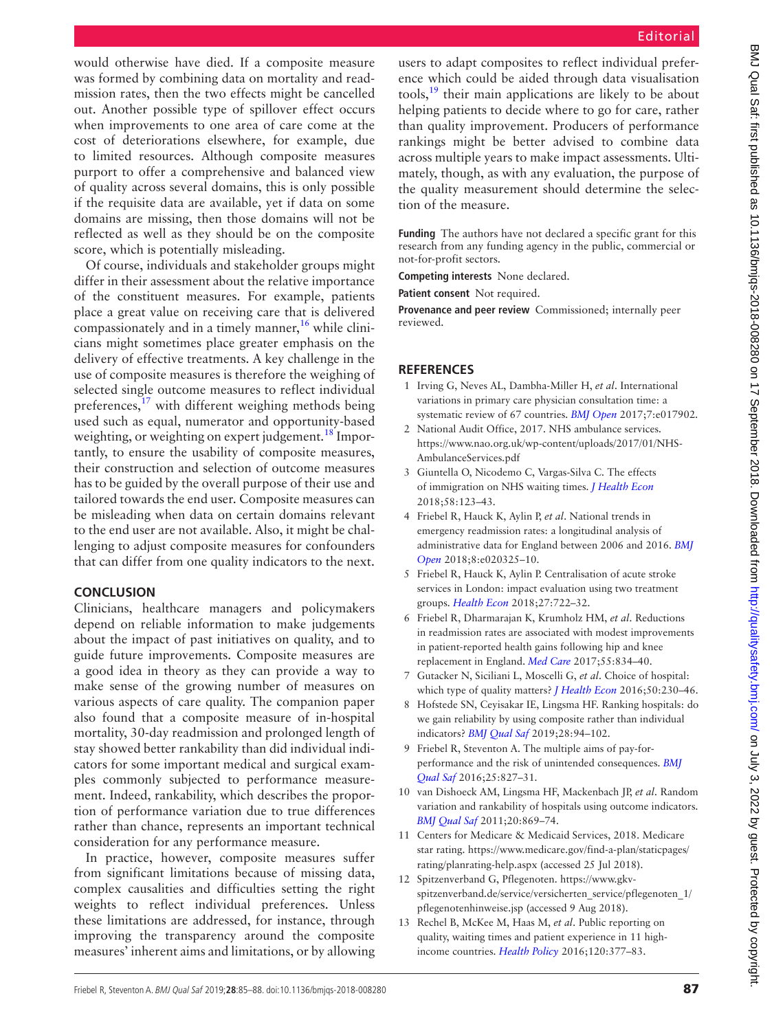would otherwise have died. If a composite measure was formed by combining data on mortality and readmission rates, then the two effects might be cancelled out. Another possible type of spillover effect occurs when improvements to one area of care come at the cost of deteriorations elsewhere, for example, due to limited resources. Although composite measures purport to offer a comprehensive and balanced view of quality across several domains, this is only possible if the requisite data are available, yet if data on some domains are missing, then those domains will not be reflected as well as they should be on the composite score, which is potentially misleading.

Of course, individuals and stakeholder groups might differ in their assessment about the relative importance of the constituent measures. For example, patients place a great value on receiving care that is delivered compassionately and in a timely manner,  $16$  while clinicians might sometimes place greater emphasis on the delivery of effective treatments. A key challenge in the use of composite measures is therefore the weighing of selected single outcome measures to reflect individual preferences, $17$  with different weighing methods being used such as equal, numerator and opportunity-based weighting, or weighting on expert judgement.<sup>18</sup> Importantly, to ensure the usability of composite measures, their construction and selection of outcome measures has to be guided by the overall purpose of their use and tailored towards the end user. Composite measures can be misleading when data on certain domains relevant to the end user are not available. Also, it might be challenging to adjust composite measures for confounders that can differ from one quality indicators to the next.

## **Conclusion**

Clinicians, healthcare managers and policymakers depend on reliable information to make judgements about the impact of past initiatives on quality, and to guide future improvements. Composite measures are a good idea in theory as they can provide a way to make sense of the growing number of measures on various aspects of care quality. The companion paper also found that a composite measure of in-hospital mortality, 30-day readmission and prolonged length of stay showed better rankability than did individual indicators for some important medical and surgical examples commonly subjected to performance measurement. Indeed, rankability, which describes the proportion of performance variation due to true differences rather than chance, represents an important technical consideration for any performance measure.

In practice, however, composite measures suffer from significant limitations because of missing data, complex causalities and difficulties setting the right weights to reflect individual preferences. Unless these limitations are addressed, for instance, through improving the transparency around the composite measures' inherent aims and limitations, or by allowing

users to adapt composites to reflect individual preference which could be aided through data visualisation tools, $19$  their main applications are likely to be about helping patients to decide where to go for care, rather than quality improvement. Producers of performance rankings might be better advised to combine data across multiple years to make impact assessments. Ultimately, though, as with any evaluation, the purpose of the quality measurement should determine the selection of the measure.

**Funding** The authors have not declared a specific grant for this research from any funding agency in the public, commercial or not-for-profit sectors.

**Competing interests** None declared.

**Patient consent** Not required.

**Provenance and peer review** Commissioned; internally peer reviewed.

#### **References**

- <span id="page-2-0"></span>1 Irving G, Neves AL, Dambha-Miller H, *et al*. International variations in primary care physician consultation time: a systematic review of 67 countries. *[BMJ Open](http://dx.doi.org/10.1136/bmjopen-2017-017902)* 2017;7:e017902.
- <span id="page-2-1"></span>2 National Audit Office, 2017. NHS ambulance services. [https://www.nao.org.uk/wp-content/uploads/2017/01/NHS-](https://www.nao.org.uk/wp-content/uploads/2017/01/NHS-AmbulanceServices.pdf)[AmbulanceServices.pdf](https://www.nao.org.uk/wp-content/uploads/2017/01/NHS-AmbulanceServices.pdf)
- <span id="page-2-2"></span>3 Giuntella O, Nicodemo C, Vargas-Silva C. The effects of immigration on NHS waiting times. *[J Health Econ](http://dx.doi.org/10.1016/j.jhealeco.2018.02.001)* 2018;58:123–43.
- <span id="page-2-3"></span>4 Friebel R, Hauck K, Aylin P, *et al*. National trends in emergency readmission rates: a longitudinal analysis of administrative data for England between 2006 and 2016. *[BMJ](http://dx.doi.org/10.1136/bmjopen-2017-020325)  [Open](http://dx.doi.org/10.1136/bmjopen-2017-020325)* 2018;8:e020325–10.
- 5 Friebel R, Hauck K, Aylin P. Centralisation of acute stroke services in London: impact evaluation using two treatment groups. *[Health Econ](http://dx.doi.org/10.1002/hec.3630)* 2018;27:722–32.
- 6 Friebel R, Dharmarajan K, Krumholz HM, *et al*. Reductions in readmission rates are associated with modest improvements in patient-reported health gains following hip and knee replacement in England. *[Med Care](http://dx.doi.org/10.1097/MLR.0000000000000779)* 2017;55:834–40.
- <span id="page-2-4"></span>7 Gutacker N, Siciliani L, Moscelli G, *et al*. Choice of hospital: which type of quality matters? *[J Health Econ](http://dx.doi.org/10.1016/j.jhealeco.2016.08.001)* 2016;50:230–46.
- <span id="page-2-5"></span>8 Hofstede SN, Ceyisakar IE, Lingsma HF. Ranking hospitals: do we gain reliability by using composite rather than individual indicators? *[BMJ Qual Saf](http://dx.doi.org/10.1136/bmjqs-2017-007669)* 2019;28:94–102.
- <span id="page-2-6"></span>9 Friebel R, Steventon A. The multiple aims of pay-forperformance and the risk of unintended consequences. *[BMJ](http://dx.doi.org/10.1136/bmjqs-2016-005392)  [Qual Saf](http://dx.doi.org/10.1136/bmjqs-2016-005392)* 2016;25:827–31.
- <span id="page-2-7"></span>10 van Dishoeck AM, Lingsma HF, Mackenbach JP, *et al*. Random variation and rankability of hospitals using outcome indicators. *[BMJ Qual Saf](http://dx.doi.org/10.1136/bmjqs.2010.048058)* 2011;20:869–74.
- <span id="page-2-8"></span>11 Centers for Medicare & Medicaid Services, 2018. Medicare star rating. [https://www.medicare.gov/find-a-plan/staticpages/](https://www.medicare.gov/find-a-plan/staticpages/rating/planrating-help.aspx) [rating/planrating-help.aspx](https://www.medicare.gov/find-a-plan/staticpages/rating/planrating-help.aspx) (accessed 25 Jul 2018).
- <span id="page-2-9"></span>12 Spitzenverband G, Pflegenoten. [https://www.gkv](https://www.gkv-spitzenverband.de/service/versicherten_service/pflegenoten_1/pflegenotenhinweise.jsp)[spitzenverband.de/service/versicherten\\_service/pflegenoten\\_1/](https://www.gkv-spitzenverband.de/service/versicherten_service/pflegenoten_1/pflegenotenhinweise.jsp) [pflegenotenhinweise.jsp](https://www.gkv-spitzenverband.de/service/versicherten_service/pflegenoten_1/pflegenotenhinweise.jsp) (accessed 9 Aug 2018).
- 13 Rechel B, McKee M, Haas M, *et al*. Public reporting on quality, waiting times and patient experience in 11 highincome countries. *[Health Policy](http://dx.doi.org/10.1016/j.healthpol.2016.02.008)* 2016;120:377–83.